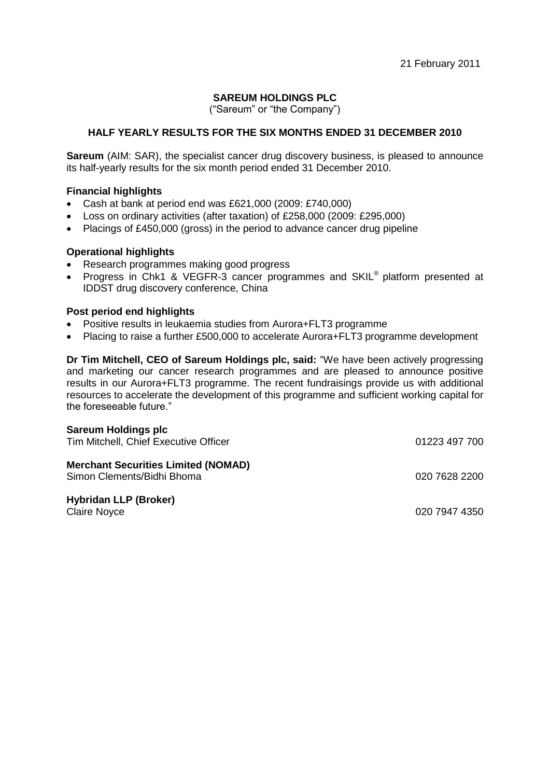21 February 2011

# **SAREUM HOLDINGS PLC**

("Sareum" or "the Company")

# **HALF YEARLY RESULTS FOR THE SIX MONTHS ENDED 31 DECEMBER 2010**

**Sareum** (AIM: SAR), the specialist cancer drug discovery business, is pleased to announce its half-yearly results for the six month period ended 31 December 2010.

## **Financial highlights**

- Cash at bank at period end was £621,000 (2009: £740,000)
- Loss on ordinary activities (after taxation) of £258,000 (2009: £295,000)
- Placings of £450,000 (gross) in the period to advance cancer drug pipeline

# **Operational highlights**

- Research programmes making good progress
- Progress in Chk1 & VEGFR-3 cancer programmes and SKIL<sup>®</sup> platform presented at IDDST drug discovery conference, China

## **Post period end highlights**

- Positive results in leukaemia studies from Aurora+FLT3 programme
- Placing to raise a further £500,000 to accelerate Aurora+FLT3 programme development

**Dr Tim Mitchell, CEO of Sareum Holdings plc, said:** "We have been actively progressing and marketing our cancer research programmes and are pleased to announce positive results in our Aurora+FLT3 programme. The recent fundraisings provide us with additional resources to accelerate the development of this programme and sufficient working capital for the foreseeable future."

## **Sareum Holdings plc**

| Tim Mitchell, Chief Executive Officer                                    | 01223 497 700 |
|--------------------------------------------------------------------------|---------------|
| <b>Merchant Securities Limited (NOMAD)</b><br>Simon Clements/Bidhi Bhoma | 020 7628 2200 |
| <b>Hybridan LLP (Broker)</b><br><b>Claire Noyce</b>                      | 020 7947 4350 |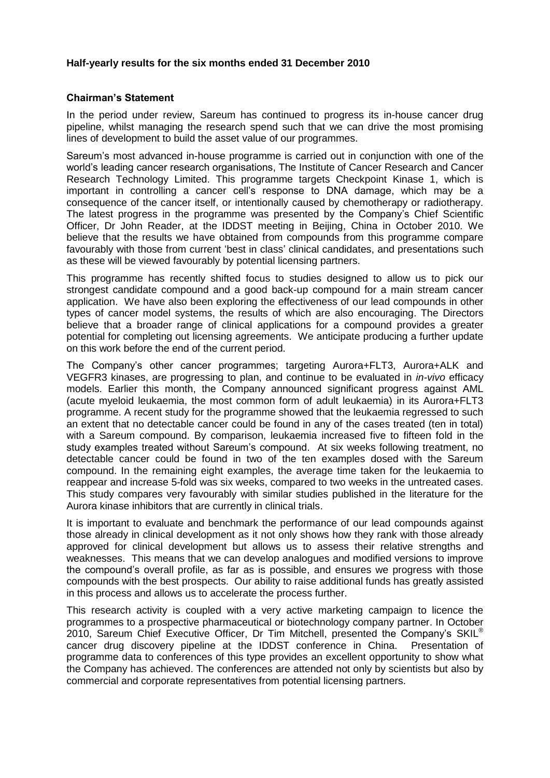## **Half-yearly results for the six months ended 31 December 2010**

## **Chairman's Statement**

In the period under review, Sareum has continued to progress its in-house cancer drug pipeline, whilst managing the research spend such that we can drive the most promising lines of development to build the asset value of our programmes.

Sareum"s most advanced in-house programme is carried out in conjunction with one of the world"s leading cancer research organisations, The Institute of Cancer Research and Cancer Research Technology Limited. This programme targets Checkpoint Kinase 1, which is important in controlling a cancer cell"s response to DNA damage, which may be a consequence of the cancer itself, or intentionally caused by chemotherapy or radiotherapy. The latest progress in the programme was presented by the Company"s Chief Scientific Officer, Dr John Reader, at the IDDST meeting in Beijing, China in October 2010. We believe that the results we have obtained from compounds from this programme compare favourably with those from current "best in class" clinical candidates, and presentations such as these will be viewed favourably by potential licensing partners.

This programme has recently shifted focus to studies designed to allow us to pick our strongest candidate compound and a good back-up compound for a main stream cancer application. We have also been exploring the effectiveness of our lead compounds in other types of cancer model systems, the results of which are also encouraging. The Directors believe that a broader range of clinical applications for a compound provides a greater potential for completing out licensing agreements. We anticipate producing a further update on this work before the end of the current period.

The Company"s other cancer programmes; targeting Aurora+FLT3, Aurora+ALK and VEGFR3 kinases, are progressing to plan, and continue to be evaluated in *in-vivo* efficacy models. Earlier this month, the Company announced significant progress against AML (acute myeloid leukaemia, the most common form of adult leukaemia) in its Aurora+FLT3 programme. A recent study for the programme showed that the leukaemia regressed to such an extent that no detectable cancer could be found in any of the cases treated (ten in total) with a Sareum compound. By comparison, leukaemia increased five to fifteen fold in the study examples treated without Sareum"s compound. At six weeks following treatment, no detectable cancer could be found in two of the ten examples dosed with the Sareum compound. In the remaining eight examples, the average time taken for the leukaemia to reappear and increase 5-fold was six weeks, compared to two weeks in the untreated cases. This study compares very favourably with similar studies published in the literature for the Aurora kinase inhibitors that are currently in clinical trials.

It is important to evaluate and benchmark the performance of our lead compounds against those already in clinical development as it not only shows how they rank with those already approved for clinical development but allows us to assess their relative strengths and weaknesses. This means that we can develop analogues and modified versions to improve the compound"s overall profile, as far as is possible, and ensures we progress with those compounds with the best prospects. Our ability to raise additional funds has greatly assisted in this process and allows us to accelerate the process further.

This research activity is coupled with a very active marketing campaign to licence the programmes to a prospective pharmaceutical or biotechnology company partner. In October 2010, Sareum Chief Executive Officer, Dr Tim Mitchell, presented the Company's SKIL® cancer drug discovery pipeline at the IDDST conference in China. Presentation of programme data to conferences of this type provides an excellent opportunity to show what the Company has achieved. The conferences are attended not only by scientists but also by commercial and corporate representatives from potential licensing partners.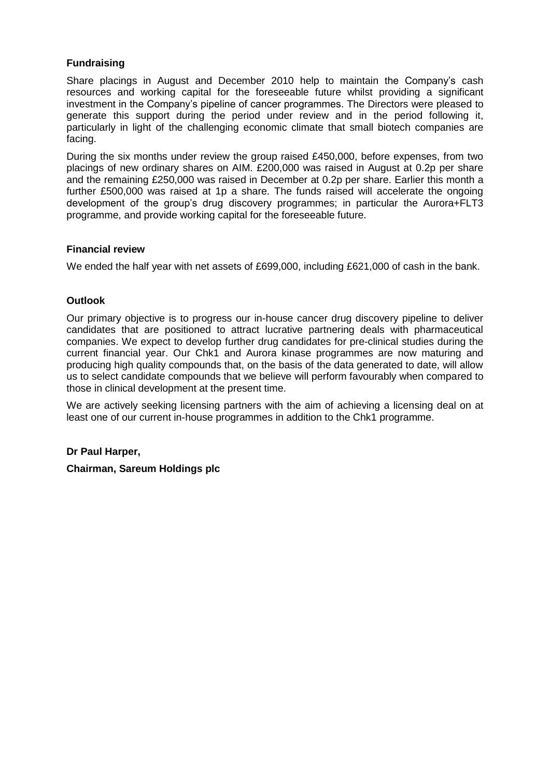## **Fundraising**

Share placings in August and December 2010 help to maintain the Company"s cash resources and working capital for the foreseeable future whilst providing a significant investment in the Company"s pipeline of cancer programmes. The Directors were pleased to generate this support during the period under review and in the period following it, particularly in light of the challenging economic climate that small biotech companies are facing.

During the six months under review the group raised £450,000, before expenses, from two placings of new ordinary shares on AIM. £200,000 was raised in August at 0.2p per share and the remaining £250,000 was raised in December at 0.2p per share. Earlier this month a further £500,000 was raised at 1p a share. The funds raised will accelerate the ongoing development of the group"s drug discovery programmes; in particular the Aurora+FLT3 programme, and provide working capital for the foreseeable future.

## **Financial review**

We ended the half year with net assets of £699,000, including £621,000 of cash in the bank.

## **Outlook**

Our primary objective is to progress our in-house cancer drug discovery pipeline to deliver candidates that are positioned to attract lucrative partnering deals with pharmaceutical companies. We expect to develop further drug candidates for pre-clinical studies during the current financial year. Our Chk1 and Aurora kinase programmes are now maturing and producing high quality compounds that, on the basis of the data generated to date, will allow us to select candidate compounds that we believe will perform favourably when compared to those in clinical development at the present time.

We are actively seeking licensing partners with the aim of achieving a licensing deal on at least one of our current in-house programmes in addition to the Chk1 programme.

#### **Dr Paul Harper,**

**Chairman, Sareum Holdings plc**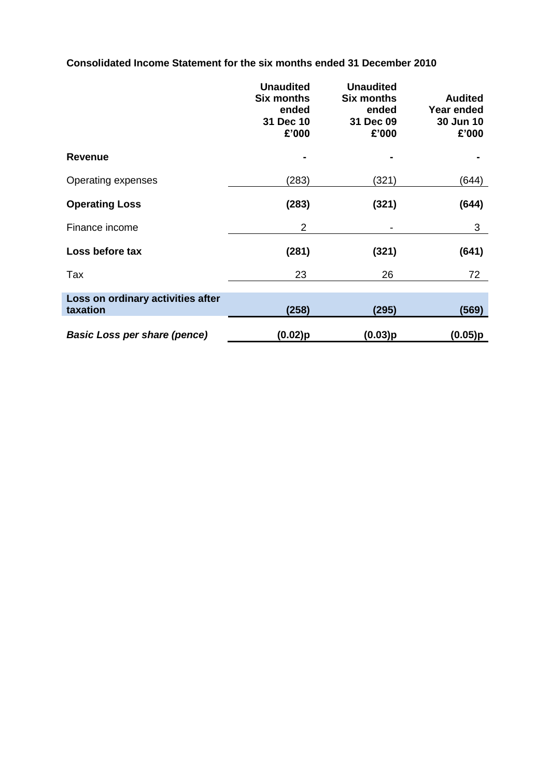**Consolidated Income Statement for the six months ended 31 December 2010**

|                                               | <b>Unaudited</b><br><b>Six months</b><br>ended<br>31 Dec 10<br>£'000 | <b>Unaudited</b><br><b>Six months</b><br>ended<br>31 Dec 09<br>£'000 | <b>Audited</b><br><b>Year ended</b><br>30 Jun 10<br>£'000 |
|-----------------------------------------------|----------------------------------------------------------------------|----------------------------------------------------------------------|-----------------------------------------------------------|
| <b>Revenue</b>                                |                                                                      |                                                                      |                                                           |
| Operating expenses                            | (283)                                                                | (321)                                                                | (644)                                                     |
| <b>Operating Loss</b>                         | (283)                                                                | (321)                                                                | (644)                                                     |
| Finance income                                | 2                                                                    |                                                                      | 3                                                         |
| Loss before tax                               | (281)                                                                | (321)                                                                | (641)                                                     |
| Tax                                           | 23                                                                   | 26                                                                   | 72                                                        |
| Loss on ordinary activities after<br>taxation | (258)                                                                | (295)                                                                | (569)                                                     |
| <b>Basic Loss per share (pence)</b>           | $(0.02)$ p                                                           | (0.03)p                                                              | (0.05)p                                                   |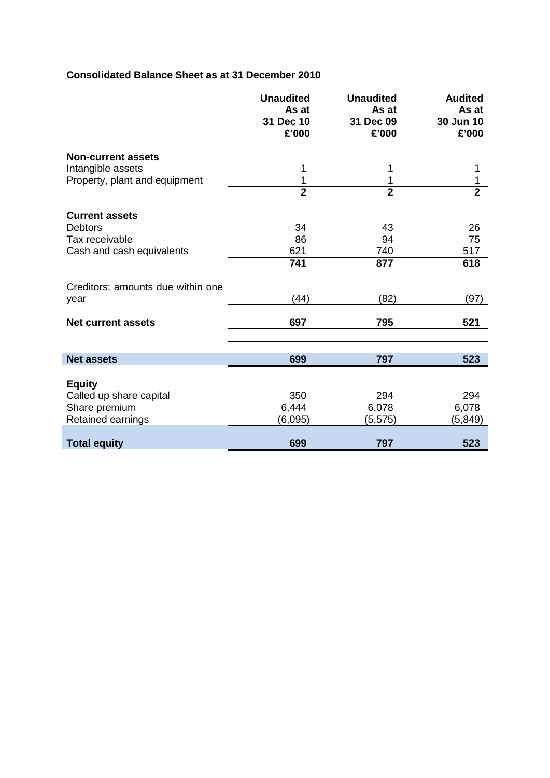# **Consolidated Balance Sheet as at 31 December 2010**

|                                   | <b>Unaudited</b><br>As at<br>31 Dec 10<br>£'000 | <b>Unaudited</b><br>As at<br>31 Dec 09<br>£'000 | <b>Audited</b><br>As at<br>30 Jun 10<br>£'000 |
|-----------------------------------|-------------------------------------------------|-------------------------------------------------|-----------------------------------------------|
| <b>Non-current assets</b>         |                                                 |                                                 |                                               |
| Intangible assets                 | 1                                               | 1                                               | 1                                             |
| Property, plant and equipment     | 1                                               | 1                                               | 1                                             |
|                                   | $\overline{2}$                                  | $\overline{2}$                                  | $\overline{2}$                                |
| <b>Current assets</b>             |                                                 |                                                 |                                               |
| <b>Debtors</b>                    | 34                                              | 43                                              | 26                                            |
| Tax receivable                    | 86                                              | 94                                              | 75                                            |
| Cash and cash equivalents         | 621                                             | 740                                             | 517                                           |
|                                   | 741                                             | 877                                             | 618                                           |
| Creditors: amounts due within one |                                                 |                                                 |                                               |
| year                              | (44)                                            | (82)                                            | (97)                                          |
| <b>Net current assets</b>         | 697                                             | 795                                             | 521                                           |
|                                   |                                                 |                                                 |                                               |
| <b>Net assets</b>                 | 699                                             | 797                                             | 523                                           |
| <b>Equity</b>                     |                                                 |                                                 |                                               |
| Called up share capital           | 350                                             | 294                                             | 294                                           |
| Share premium                     | 6,444                                           | 6,078                                           | 6,078                                         |
| Retained earnings                 | (6,095)                                         | (5,575)                                         | (5,849)                                       |
|                                   |                                                 |                                                 |                                               |
| <b>Total equity</b>               | 699                                             | 797                                             | 523                                           |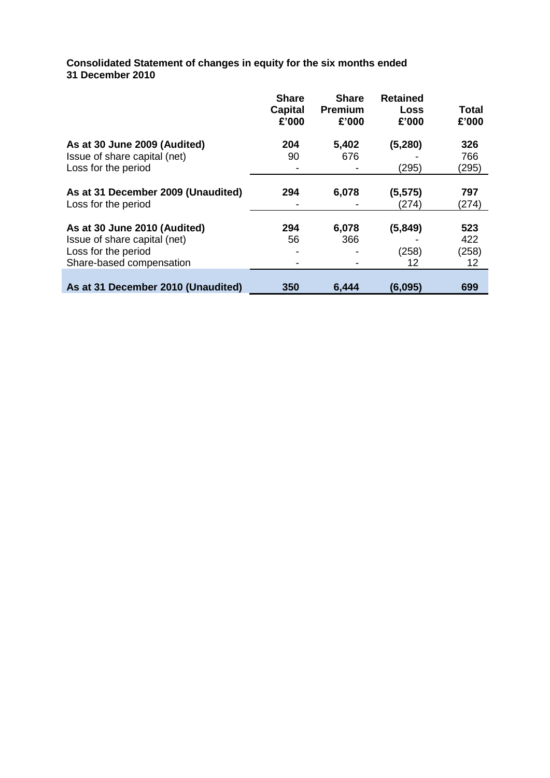**Consolidated Statement of changes in equity for the six months ended 31 December 2010**

|                                    | <b>Share</b><br><b>Capital</b><br>£'000 | <b>Share</b><br><b>Premium</b><br>£'000 | <b>Retained</b><br><b>Loss</b><br>£'000 | <b>Total</b><br>£'000 |
|------------------------------------|-----------------------------------------|-----------------------------------------|-----------------------------------------|-----------------------|
| As at 30 June 2009 (Audited)       | 204                                     | 5,402                                   | (5, 280)                                | 326                   |
| Issue of share capital (net)       | 90                                      | 676                                     |                                         | 766                   |
| Loss for the period                |                                         |                                         | (295)                                   | (295)                 |
|                                    |                                         |                                         |                                         |                       |
| As at 31 December 2009 (Unaudited) | 294                                     | 6,078                                   | (5, 575)                                | 797                   |
| Loss for the period                |                                         |                                         | (274)                                   | (274)                 |
|                                    |                                         |                                         |                                         |                       |
| As at 30 June 2010 (Audited)       | 294                                     | 6,078                                   | (5, 849)                                | 523                   |
| Issue of share capital (net)       | 56                                      | 366                                     |                                         | 422                   |
| Loss for the period                |                                         |                                         | (258)                                   | (258)                 |
| Share-based compensation           |                                         |                                         | 12                                      | $12 \overline{ }$     |
|                                    |                                         |                                         |                                         |                       |
| As at 31 December 2010 (Unaudited) | 350                                     | 6,444                                   | (6,095)                                 | 699                   |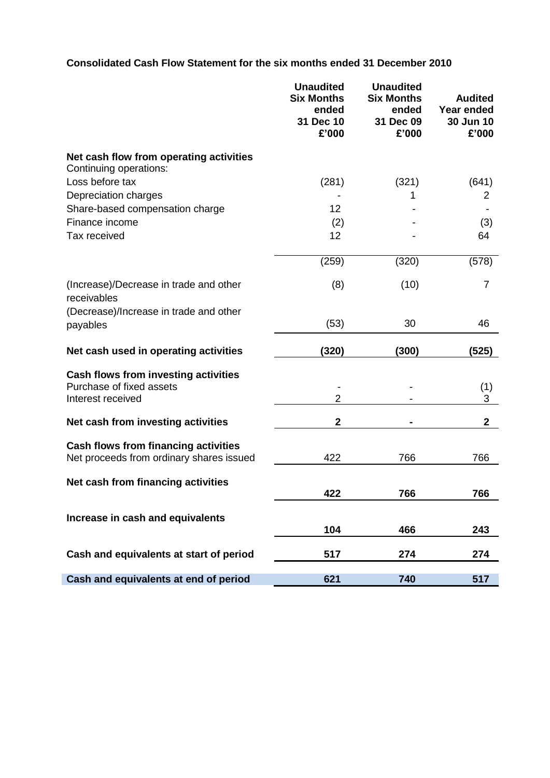# **Consolidated Cash Flow Statement for the six months ended 31 December 2010**

|                                                                                         | <b>Unaudited</b><br><b>Six Months</b><br>ended<br>31 Dec 10<br>£'000 | <b>Unaudited</b><br><b>Six Months</b><br>ended<br>31 Dec 09<br>£'000 | <b>Audited</b><br>Year ended<br>30 Jun 10<br>£'000 |
|-----------------------------------------------------------------------------------------|----------------------------------------------------------------------|----------------------------------------------------------------------|----------------------------------------------------|
| Net cash flow from operating activities<br>Continuing operations:                       |                                                                      |                                                                      |                                                    |
| Loss before tax                                                                         | (281)                                                                | (321)                                                                | (641)                                              |
| Depreciation charges                                                                    |                                                                      | 1                                                                    | 2                                                  |
| Share-based compensation charge                                                         | 12                                                                   |                                                                      |                                                    |
| Finance income                                                                          | (2)                                                                  |                                                                      | (3)                                                |
| Tax received                                                                            | 12                                                                   |                                                                      | 64                                                 |
|                                                                                         | (259)                                                                | (320)                                                                | (578)                                              |
| (Increase)/Decrease in trade and other<br>receivables                                   | (8)                                                                  | (10)                                                                 | $\overline{7}$                                     |
| (Decrease)/Increase in trade and other<br>payables                                      | (53)                                                                 | 30                                                                   | 46                                                 |
| Net cash used in operating activities                                                   | (320)                                                                | (300)                                                                | (525)                                              |
| Cash flows from investing activities<br>Purchase of fixed assets<br>Interest received   | $\overline{2}$                                                       |                                                                      | (1)<br>3                                           |
| Net cash from investing activities                                                      | $\mathbf 2$                                                          |                                                                      | $\mathbf{2}$                                       |
| <b>Cash flows from financing activities</b><br>Net proceeds from ordinary shares issued | 422                                                                  | 766                                                                  | 766                                                |
| Net cash from financing activities                                                      | 422                                                                  | 766                                                                  | 766                                                |
| Increase in cash and equivalents                                                        | 104                                                                  | 466                                                                  | 243                                                |
| Cash and equivalents at start of period                                                 | 517                                                                  | 274                                                                  | 274                                                |
| Cash and equivalents at end of period                                                   | 621                                                                  | 740                                                                  | 517                                                |